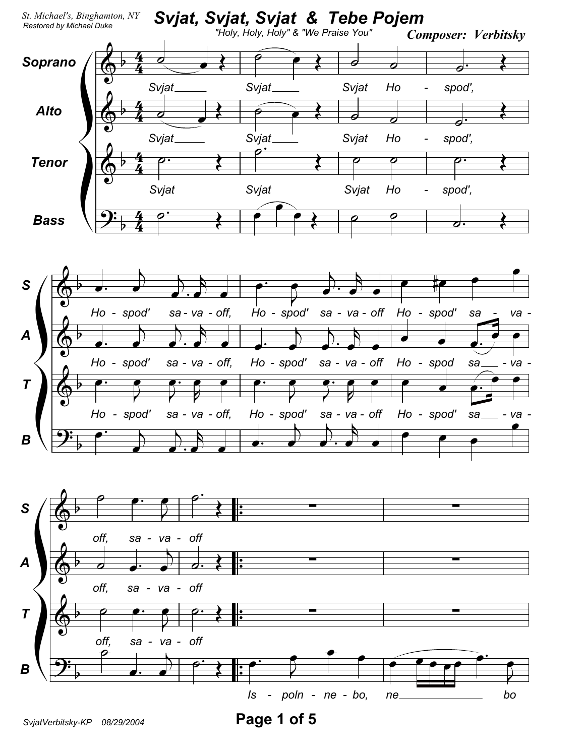

SvjatVerbitsky-KP 08/29/2004

Page 1 of 5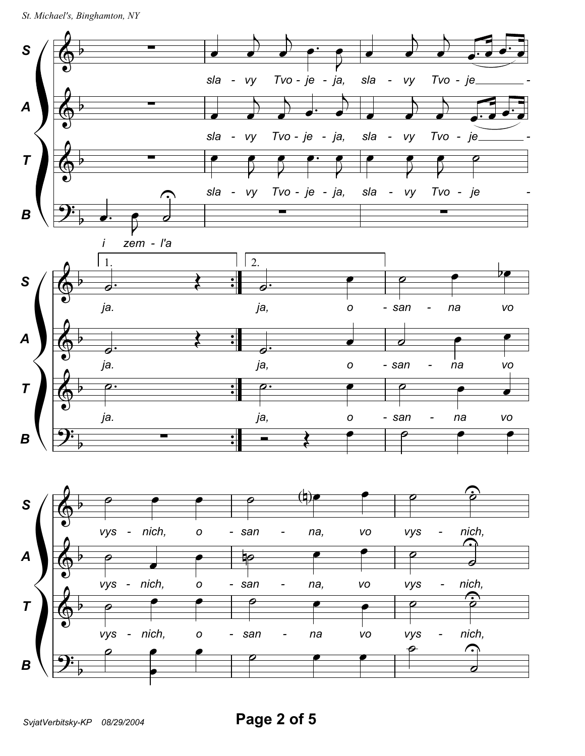```
St. Michael's, Binghamton, NY
```
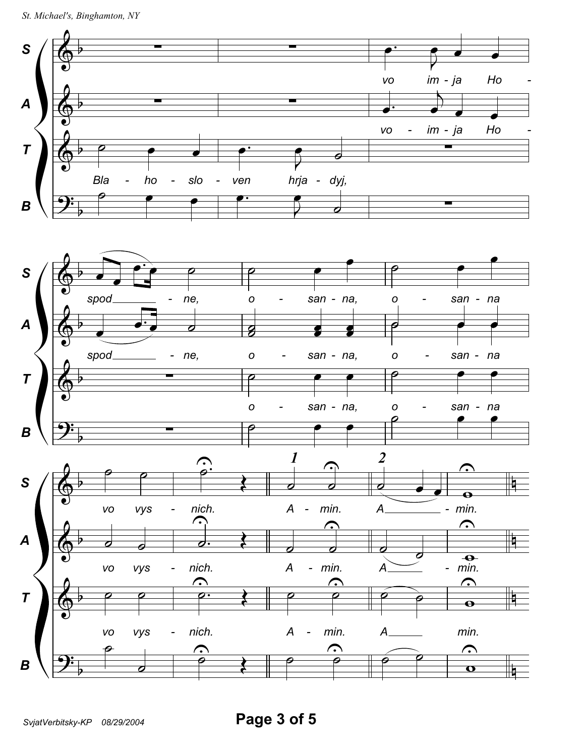

SvjatVerbitsky-KP 08/29/2004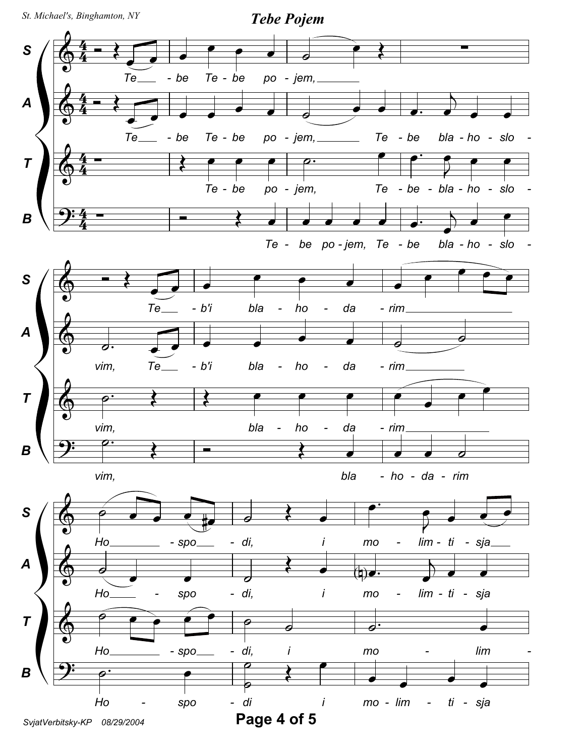